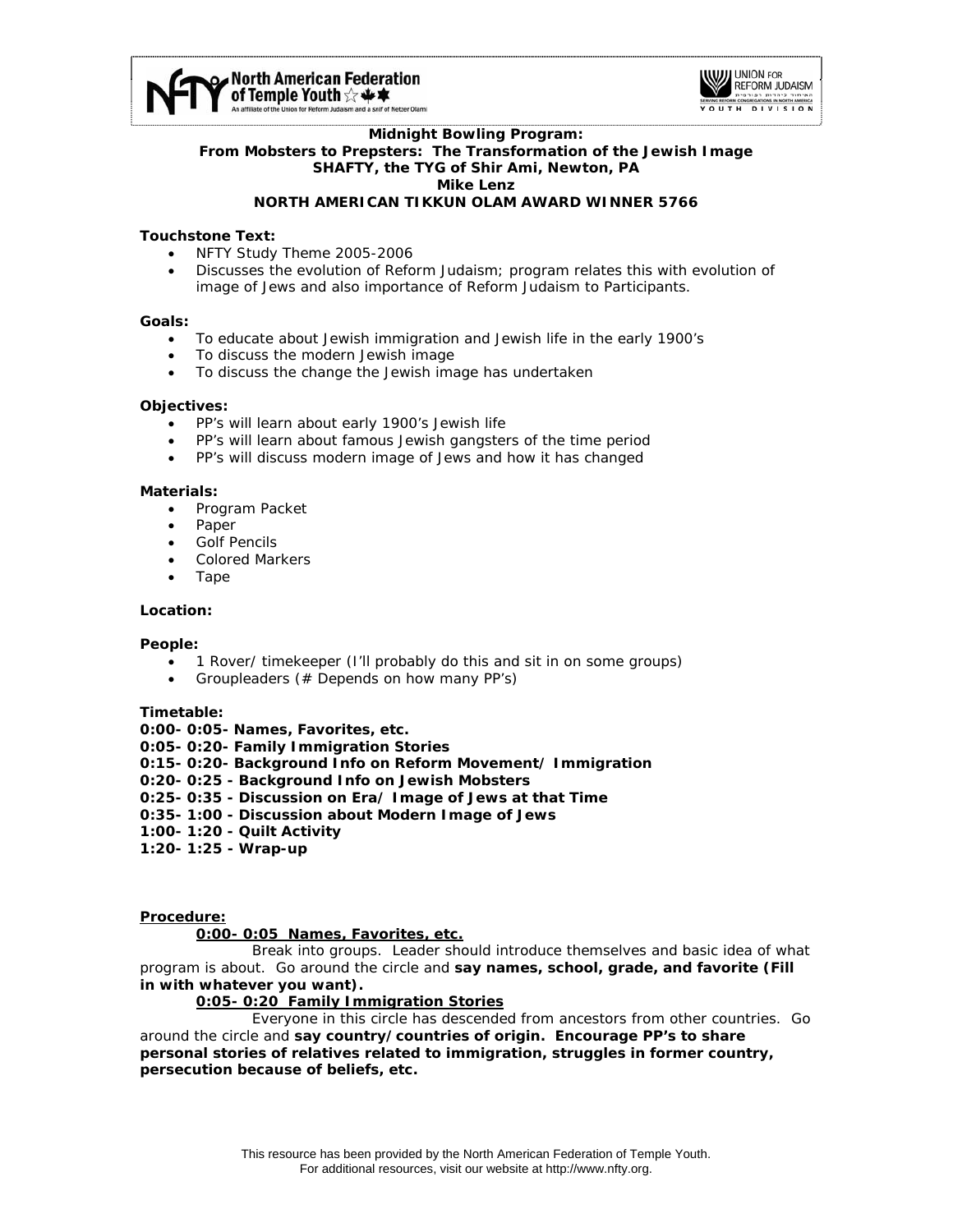



### **Midnight Bowling Program: From Mobsters to Prepsters: The Transformation of the Jewish Image SHAFTY, the TYG of Shir Ami, Newton, PA Mike Lenz NORTH AMERICAN TIKKUN OLAM AWARD WINNER 5766**

## **Touchstone Text:**

- NFTY Study Theme 2005-2006
- Discusses the evolution of Reform Judaism; program relates this with evolution of image of Jews and also importance of Reform Judaism to Participants.

### **Goals:**

- To educate about Jewish immigration and Jewish life in the early 1900's
- To discuss the modern Jewish image
- To discuss the change the Jewish image has undertaken

### **Objectives:**

- PP's will learn about early 1900's Jewish life
- PP's will learn about famous Jewish gangsters of the time period
- PP's will discuss modern image of Jews and how it has changed

### **Materials:**

- Program Packet
- Paper
- Golf Pencils
- Colored Markers
- Tape

### **Location:**

### **People:**

- 1 Rover/ timekeeper (I'll probably do this and sit in on some groups)
- Groupleaders (# Depends on how many PP's)

### **Timetable:**

**0:00- 0:05- Names, Favorites, etc.** 

- **0:05- 0:20- Family Immigration Stories**
- **0:15- 0:20- Background Info on Reform Movement/ Immigration**
- **0:20- 0:25 Background Info on Jewish Mobsters**
- **0:25- 0:35 Discussion on Era/ Image of Jews at that Time**
- **0:35- 1:00 Discussion about Modern Image of Jews**
- **1:00- 1:20 Quilt Activity**
- **1:20- 1:25 Wrap-up**

### **Procedure:**

## **0:00- 0:05 Names, Favorites, etc.**

 Break into groups. Leader should introduce themselves and basic idea of what program is about. Go around the circle and **say names, school, grade, and favorite (Fill in with whatever you want).** 

## **0:05- 0:20 Family Immigration Stories**

 Everyone in this circle has descended from ancestors from other countries. Go around the circle and **say country/countries of origin. Encourage PP's to share personal stories of relatives related to immigration, struggles in former country, persecution because of beliefs, etc.**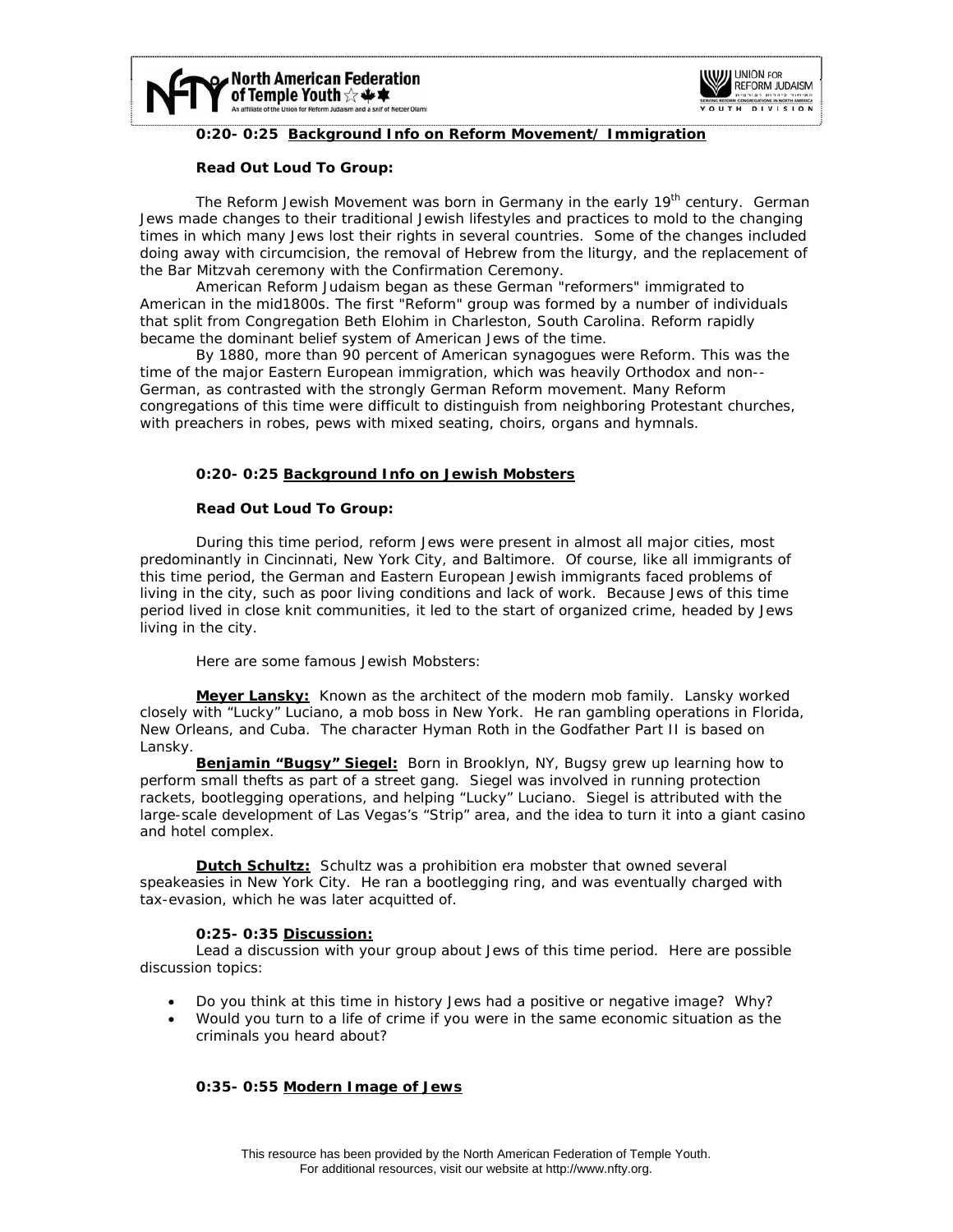



## **0:20- 0:25 Background Info on Reform Movement/ Immigration**

## **Read Out Loud To Group:**

The Reform Jewish Movement was born in Germany in the early 19<sup>th</sup> century. German Jews made changes to their traditional Jewish lifestyles and practices to mold to the changing times in which many Jews lost their rights in several countries. Some of the changes included doing away with circumcision, the removal of Hebrew from the liturgy, and the replacement of the Bar Mitzvah ceremony with the Confirmation Ceremony.

American Reform Judaism began as these German "reformers" immigrated to American in the mid1800s. The first "Reform" group was formed by a number of individuals that split from Congregation Beth Elohim in Charleston, South Carolina. Reform rapidly became the dominant belief system of American Jews of the time.

By 1880, more than 90 percent of American synagogues were Reform. This was the time of the major Eastern European immigration, which was heavily Orthodox and non-- German, as contrasted with the strongly German Reform movement. Many Reform congregations of this time were difficult to distinguish from neighboring Protestant churches, with preachers in robes, pews with mixed seating, choirs, organs and hymnals.

## **0:20- 0:25 Background Info on Jewish Mobsters**

## **Read Out Loud To Group:**

During this time period, reform Jews were present in almost all major cities, most predominantly in Cincinnati, New York City, and Baltimore. Of course, like all immigrants of this time period, the German and Eastern European Jewish immigrants faced problems of living in the city, such as poor living conditions and lack of work. Because Jews of this time period lived in close knit communities, it led to the start of organized crime, headed by Jews living in the city.

Here are some famous Jewish Mobsters:

**Meyer Lansky:** Known as the architect of the modern mob family. Lansky worked closely with "Lucky" Luciano, a mob boss in New York. He ran gambling operations in Florida, New Orleans, and Cuba. The character Hyman Roth in the Godfather Part II is based on Lansky.

**Benjamin "Bugsy" Siegel:** Born in Brooklyn, NY, Bugsy grew up learning how to perform small thefts as part of a street gang. Siegel was involved in running protection rackets, bootlegging operations, and helping "Lucky" Luciano. Siegel is attributed with the large-scale development of Las Vegas's "Strip" area, and the idea to turn it into a giant casino and hotel complex.

**Dutch Schultz:** Schultz was a prohibition era mobster that owned several speakeasies in New York City. He ran a bootlegging ring, and was eventually charged with tax-evasion, which he was later acquitted of.

# **0:25- 0:35 Discussion:**

 Lead a discussion with your group about Jews of this time period. Here are possible discussion topics:

- Do you think at this time in history Jews had a positive or negative image? Why?
- Would you turn to a life of crime if you were in the same economic situation as the criminals you heard about?

# **0:35- 0:55 Modern Image of Jews**